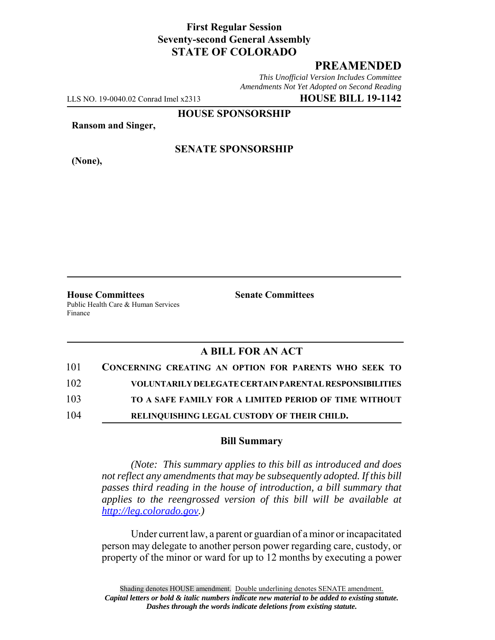## **First Regular Session Seventy-second General Assembly STATE OF COLORADO**

# **PREAMENDED**

*This Unofficial Version Includes Committee Amendments Not Yet Adopted on Second Reading*

LLS NO. 19-0040.02 Conrad Imel x2313 **HOUSE BILL 19-1142**

**HOUSE SPONSORSHIP**

**Ransom and Singer,**

**(None),**

### **SENATE SPONSORSHIP**

**House Committees Senate Committees** Public Health Care & Human Services Finance

### **A BILL FOR AN ACT**

| 101 | CONCERNING CREATING AN OPTION FOR PARENTS WHO SEEK TO         |
|-----|---------------------------------------------------------------|
| 102 | <b>VOLUNTARILY DELEGATE CERTAIN PARENTAL RESPONSIBILITIES</b> |
| 103 | TO A SAFE FAMILY FOR A LIMITED PERIOD OF TIME WITHOUT         |
| 104 | RELINQUISHING LEGAL CUSTODY OF THEIR CHILD.                   |

#### **Bill Summary**

*(Note: This summary applies to this bill as introduced and does not reflect any amendments that may be subsequently adopted. If this bill passes third reading in the house of introduction, a bill summary that applies to the reengrossed version of this bill will be available at http://leg.colorado.gov.)*

Under current law, a parent or guardian of a minor or incapacitated person may delegate to another person power regarding care, custody, or property of the minor or ward for up to 12 months by executing a power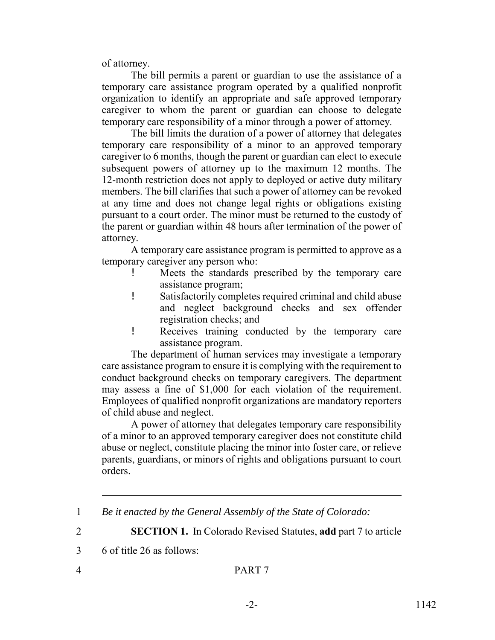of attorney.

The bill permits a parent or guardian to use the assistance of a temporary care assistance program operated by a qualified nonprofit organization to identify an appropriate and safe approved temporary caregiver to whom the parent or guardian can choose to delegate temporary care responsibility of a minor through a power of attorney.

The bill limits the duration of a power of attorney that delegates temporary care responsibility of a minor to an approved temporary caregiver to 6 months, though the parent or guardian can elect to execute subsequent powers of attorney up to the maximum 12 months. The 12-month restriction does not apply to deployed or active duty military members. The bill clarifies that such a power of attorney can be revoked at any time and does not change legal rights or obligations existing pursuant to a court order. The minor must be returned to the custody of the parent or guardian within 48 hours after termination of the power of attorney.

A temporary care assistance program is permitted to approve as a temporary caregiver any person who:

- ! Meets the standards prescribed by the temporary care assistance program;
- ! Satisfactorily completes required criminal and child abuse and neglect background checks and sex offender registration checks; and
- ! Receives training conducted by the temporary care assistance program.

The department of human services may investigate a temporary care assistance program to ensure it is complying with the requirement to conduct background checks on temporary caregivers. The department may assess a fine of \$1,000 for each violation of the requirement. Employees of qualified nonprofit organizations are mandatory reporters of child abuse and neglect.

A power of attorney that delegates temporary care responsibility of a minor to an approved temporary caregiver does not constitute child abuse or neglect, constitute placing the minor into foster care, or relieve parents, guardians, or minors of rights and obligations pursuant to court orders.

2 **SECTION 1.** In Colorado Revised Statutes, **add** part 7 to article

<sup>1</sup> *Be it enacted by the General Assembly of the State of Colorado:*

<sup>3</sup> 6 of title 26 as follows: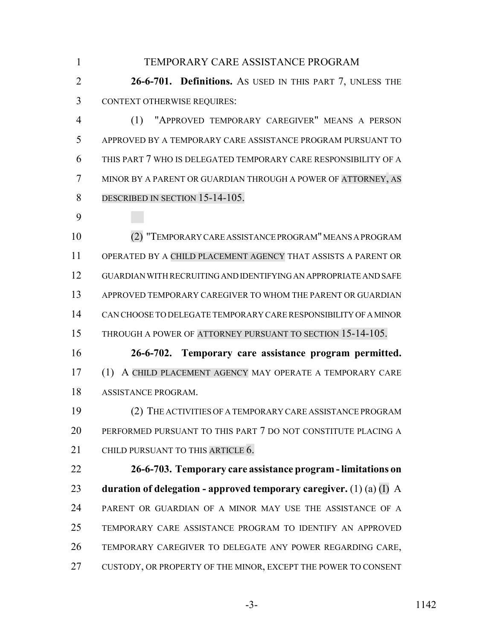TEMPORARY CARE ASSISTANCE PROGRAM **26-6-701. Definitions.** AS USED IN THIS PART 7, UNLESS THE CONTEXT OTHERWISE REQUIRES: (1) "APPROVED TEMPORARY CAREGIVER" MEANS A PERSON APPROVED BY A TEMPORARY CARE ASSISTANCE PROGRAM PURSUANT TO THIS PART 7 WHO IS DELEGATED TEMPORARY CARE RESPONSIBILITY OF A MINOR BY A PARENT OR GUARDIAN THROUGH A POWER OF ATTORNEY, AS 8 DESCRIBED IN SECTION 15-14-105. (2) "TEMPORARY CARE ASSISTANCE PROGRAM" MEANS A PROGRAM OPERATED BY A CHILD PLACEMENT AGENCY THAT ASSISTS A PARENT OR GUARDIAN WITH RECRUITING AND IDENTIFYING AN APPROPRIATE AND SAFE APPROVED TEMPORARY CAREGIVER TO WHOM THE PARENT OR GUARDIAN CAN CHOOSE TO DELEGATE TEMPORARY CARE RESPONSIBILITY OF A MINOR 15 THROUGH A POWER OF ATTORNEY PURSUANT TO SECTION 15-14-105. **26-6-702. Temporary care assistance program permitted.** (1) A CHILD PLACEMENT AGENCY MAY OPERATE A TEMPORARY CARE ASSISTANCE PROGRAM. (2) THE ACTIVITIES OF A TEMPORARY CARE ASSISTANCE PROGRAM PERFORMED PURSUANT TO THIS PART 7 DO NOT CONSTITUTE PLACING A 21 CHILD PURSUANT TO THIS ARTICLE 6. **26-6-703. Temporary care assistance program - limitations on duration of delegation - approved temporary caregiver.** (1) (a) (I) A PARENT OR GUARDIAN OF A MINOR MAY USE THE ASSISTANCE OF A TEMPORARY CARE ASSISTANCE PROGRAM TO IDENTIFY AN APPROVED TEMPORARY CAREGIVER TO DELEGATE ANY POWER REGARDING CARE, CUSTODY, OR PROPERTY OF THE MINOR, EXCEPT THE POWER TO CONSENT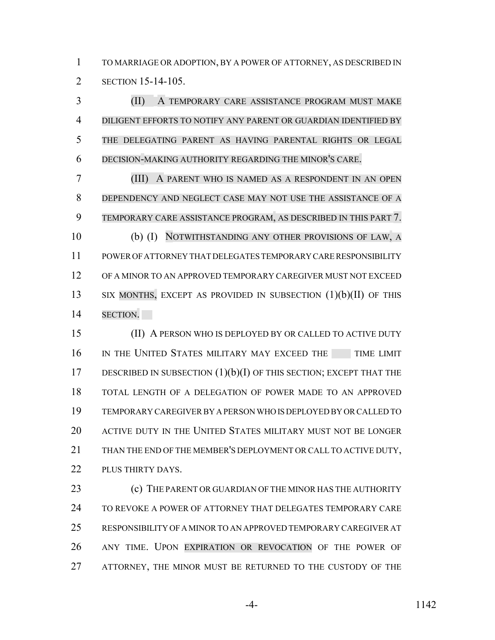TO MARRIAGE OR ADOPTION, BY A POWER OF ATTORNEY, AS DESCRIBED IN SECTION 15-14-105.

 (II) A TEMPORARY CARE ASSISTANCE PROGRAM MUST MAKE DILIGENT EFFORTS TO NOTIFY ANY PARENT OR GUARDIAN IDENTIFIED BY THE DELEGATING PARENT AS HAVING PARENTAL RIGHTS OR LEGAL DECISION-MAKING AUTHORITY REGARDING THE MINOR'S CARE.

 (III) A PARENT WHO IS NAMED AS A RESPONDENT IN AN OPEN DEPENDENCY AND NEGLECT CASE MAY NOT USE THE ASSISTANCE OF A TEMPORARY CARE ASSISTANCE PROGRAM, AS DESCRIBED IN THIS PART 7. (b) (I) NOTWITHSTANDING ANY OTHER PROVISIONS OF LAW, A POWER OF ATTORNEY THAT DELEGATES TEMPORARY CARE RESPONSIBILITY OF A MINOR TO AN APPROVED TEMPORARY CAREGIVER MUST NOT EXCEED 13 SIX MONTHS, EXCEPT AS PROVIDED IN SUBSECTION (1)(b)(II) OF THIS SECTION.

 (II) A PERSON WHO IS DEPLOYED BY OR CALLED TO ACTIVE DUTY 16 IN THE UNITED STATES MILITARY MAY EXCEED THE TIME LIMIT 17 DESCRIBED IN SUBSECTION (1)(b)(I) OF THIS SECTION; EXCEPT THAT THE TOTAL LENGTH OF A DELEGATION OF POWER MADE TO AN APPROVED TEMPORARY CAREGIVER BY A PERSON WHO IS DEPLOYED BY OR CALLED TO ACTIVE DUTY IN THE UNITED STATES MILITARY MUST NOT BE LONGER 21 THAN THE END OF THE MEMBER'S DEPLOYMENT OR CALL TO ACTIVE DUTY, 22 PLUS THIRTY DAYS.

**(c)** THE PARENT OR GUARDIAN OF THE MINOR HAS THE AUTHORITY TO REVOKE A POWER OF ATTORNEY THAT DELEGATES TEMPORARY CARE RESPONSIBILITY OF A MINOR TO AN APPROVED TEMPORARY CAREGIVER AT ANY TIME. UPON EXPIRATION OR REVOCATION OF THE POWER OF 27 ATTORNEY, THE MINOR MUST BE RETURNED TO THE CUSTODY OF THE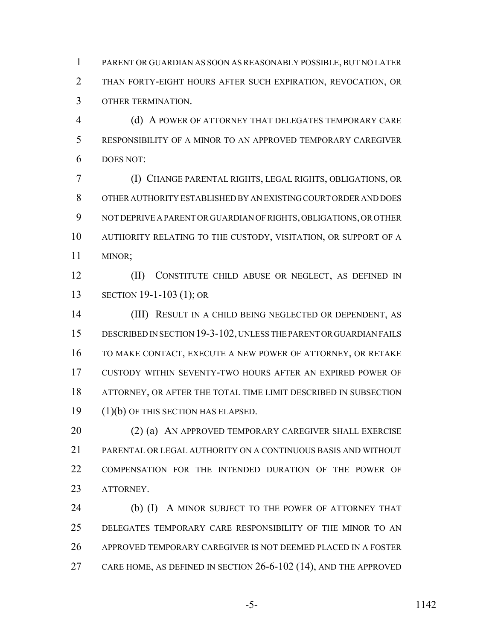PARENT OR GUARDIAN AS SOON AS REASONABLY POSSIBLE, BUT NO LATER THAN FORTY-EIGHT HOURS AFTER SUCH EXPIRATION, REVOCATION, OR OTHER TERMINATION.

 (d) A POWER OF ATTORNEY THAT DELEGATES TEMPORARY CARE RESPONSIBILITY OF A MINOR TO AN APPROVED TEMPORARY CAREGIVER DOES NOT:

 (I) CHANGE PARENTAL RIGHTS, LEGAL RIGHTS, OBLIGATIONS, OR OTHER AUTHORITY ESTABLISHED BY AN EXISTING COURT ORDER AND DOES NOT DEPRIVE A PARENT OR GUARDIAN OF RIGHTS, OBLIGATIONS, OR OTHER AUTHORITY RELATING TO THE CUSTODY, VISITATION, OR SUPPORT OF A MINOR;

 (II) CONSTITUTE CHILD ABUSE OR NEGLECT, AS DEFINED IN SECTION 19-1-103 (1); OR

 (III) RESULT IN A CHILD BEING NEGLECTED OR DEPENDENT, AS DESCRIBED IN SECTION 19-3-102, UNLESS THE PARENT OR GUARDIAN FAILS TO MAKE CONTACT, EXECUTE A NEW POWER OF ATTORNEY, OR RETAKE CUSTODY WITHIN SEVENTY-TWO HOURS AFTER AN EXPIRED POWER OF ATTORNEY, OR AFTER THE TOTAL TIME LIMIT DESCRIBED IN SUBSECTION (1)(b) OF THIS SECTION HAS ELAPSED.

20 (2) (a) AN APPROVED TEMPORARY CAREGIVER SHALL EXERCISE PARENTAL OR LEGAL AUTHORITY ON A CONTINUOUS BASIS AND WITHOUT COMPENSATION FOR THE INTENDED DURATION OF THE POWER OF ATTORNEY.

24 (b) (I) A MINOR SUBJECT TO THE POWER OF ATTORNEY THAT DELEGATES TEMPORARY CARE RESPONSIBILITY OF THE MINOR TO AN APPROVED TEMPORARY CAREGIVER IS NOT DEEMED PLACED IN A FOSTER CARE HOME, AS DEFINED IN SECTION 26-6-102 (14), AND THE APPROVED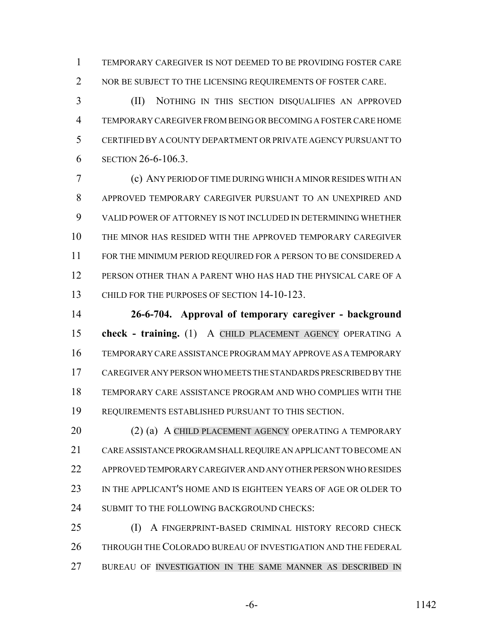TEMPORARY CAREGIVER IS NOT DEEMED TO BE PROVIDING FOSTER CARE 2 NOR BE SUBJECT TO THE LICENSING REQUIREMENTS OF FOSTER CARE.

 (II) NOTHING IN THIS SECTION DISQUALIFIES AN APPROVED TEMPORARY CAREGIVER FROM BEING OR BECOMING A FOSTER CARE HOME CERTIFIED BY A COUNTY DEPARTMENT OR PRIVATE AGENCY PURSUANT TO SECTION 26-6-106.3.

 (c) ANY PERIOD OF TIME DURING WHICH A MINOR RESIDES WITH AN APPROVED TEMPORARY CAREGIVER PURSUANT TO AN UNEXPIRED AND VALID POWER OF ATTORNEY IS NOT INCLUDED IN DETERMINING WHETHER THE MINOR HAS RESIDED WITH THE APPROVED TEMPORARY CAREGIVER FOR THE MINIMUM PERIOD REQUIRED FOR A PERSON TO BE CONSIDERED A PERSON OTHER THAN A PARENT WHO HAS HAD THE PHYSICAL CARE OF A CHILD FOR THE PURPOSES OF SECTION 14-10-123.

 **26-6-704. Approval of temporary caregiver - background check - training.** (1) A CHILD PLACEMENT AGENCY OPERATING A TEMPORARY CARE ASSISTANCE PROGRAM MAY APPROVE AS A TEMPORARY CAREGIVER ANY PERSON WHO MEETS THE STANDARDS PRESCRIBED BY THE TEMPORARY CARE ASSISTANCE PROGRAM AND WHO COMPLIES WITH THE REQUIREMENTS ESTABLISHED PURSUANT TO THIS SECTION.

20 (2) (a) A CHILD PLACEMENT AGENCY OPERATING A TEMPORARY CARE ASSISTANCE PROGRAM SHALL REQUIRE AN APPLICANT TO BECOME AN APPROVED TEMPORARY CAREGIVER AND ANY OTHER PERSON WHO RESIDES IN THE APPLICANT'S HOME AND IS EIGHTEEN YEARS OF AGE OR OLDER TO 24 SUBMIT TO THE FOLLOWING BACKGROUND CHECKS:

 (I) A FINGERPRINT-BASED CRIMINAL HISTORY RECORD CHECK THROUGH THE COLORADO BUREAU OF INVESTIGATION AND THE FEDERAL 27 BUREAU OF INVESTIGATION IN THE SAME MANNER AS DESCRIBED IN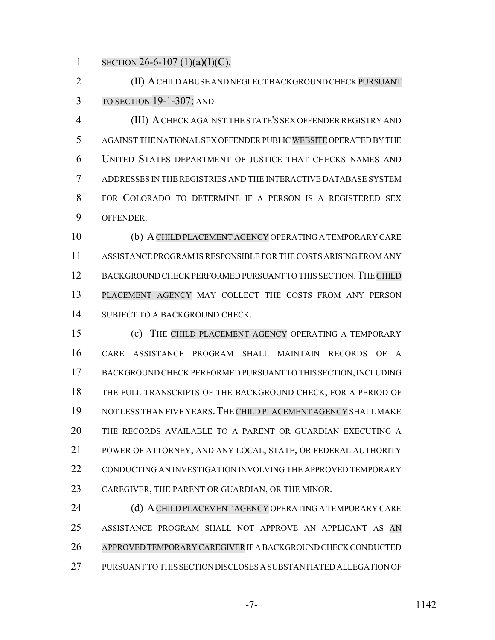1 SECTION 26-6-107 (1)(a)(I)(C).

 (II) A CHILD ABUSE AND NEGLECT BACKGROUND CHECK PURSUANT TO SECTION 19-1-307; AND

 (III) A CHECK AGAINST THE STATE'S SEX OFFENDER REGISTRY AND AGAINST THE NATIONAL SEX OFFENDER PUBLIC WEBSITE OPERATED BY THE UNITED STATES DEPARTMENT OF JUSTICE THAT CHECKS NAMES AND ADDRESSES IN THE REGISTRIES AND THE INTERACTIVE DATABASE SYSTEM FOR COLORADO TO DETERMINE IF A PERSON IS A REGISTERED SEX OFFENDER.

 (b) ACHILD PLACEMENT AGENCY OPERATING A TEMPORARY CARE ASSISTANCE PROGRAM IS RESPONSIBLE FOR THE COSTS ARISING FROM ANY 12 BACKGROUND CHECK PERFORMED PURSUANT TO THIS SECTION. THE CHILD PLACEMENT AGENCY MAY COLLECT THE COSTS FROM ANY PERSON SUBJECT TO A BACKGROUND CHECK.

 (c) THE CHILD PLACEMENT AGENCY OPERATING A TEMPORARY CARE ASSISTANCE PROGRAM SHALL MAINTAIN RECORDS OF A BACKGROUND CHECK PERFORMED PURSUANT TO THIS SECTION, INCLUDING THE FULL TRANSCRIPTS OF THE BACKGROUND CHECK, FOR A PERIOD OF NOT LESS THAN FIVE YEARS.THE CHILD PLACEMENT AGENCY SHALL MAKE THE RECORDS AVAILABLE TO A PARENT OR GUARDIAN EXECUTING A POWER OF ATTORNEY, AND ANY LOCAL, STATE, OR FEDERAL AUTHORITY CONDUCTING AN INVESTIGATION INVOLVING THE APPROVED TEMPORARY CAREGIVER, THE PARENT OR GUARDIAN, OR THE MINOR.

24 (d) A CHILD PLACEMENT AGENCY OPERATING A TEMPORARY CARE ASSISTANCE PROGRAM SHALL NOT APPROVE AN APPLICANT AS AN APPROVED TEMPORARY CAREGIVER IF A BACKGROUND CHECK CONDUCTED PURSUANT TO THIS SECTION DISCLOSES A SUBSTANTIATED ALLEGATION OF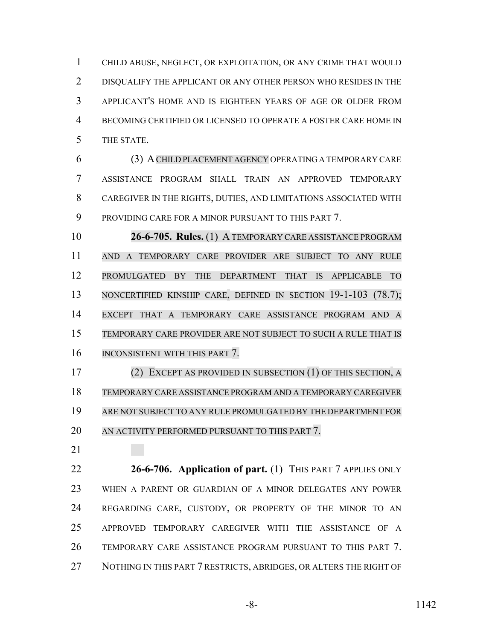CHILD ABUSE, NEGLECT, OR EXPLOITATION, OR ANY CRIME THAT WOULD DISQUALIFY THE APPLICANT OR ANY OTHER PERSON WHO RESIDES IN THE APPLICANT'S HOME AND IS EIGHTEEN YEARS OF AGE OR OLDER FROM BECOMING CERTIFIED OR LICENSED TO OPERATE A FOSTER CARE HOME IN THE STATE.

 (3) ACHILD PLACEMENT AGENCY OPERATING A TEMPORARY CARE ASSISTANCE PROGRAM SHALL TRAIN AN APPROVED TEMPORARY CAREGIVER IN THE RIGHTS, DUTIES, AND LIMITATIONS ASSOCIATED WITH PROVIDING CARE FOR A MINOR PURSUANT TO THIS PART 7.

 **26-6-705. Rules.** (1) A TEMPORARY CARE ASSISTANCE PROGRAM AND A TEMPORARY CARE PROVIDER ARE SUBJECT TO ANY RULE PROMULGATED BY THE DEPARTMENT THAT IS APPLICABLE TO NONCERTIFIED KINSHIP CARE, DEFINED IN SECTION 19-1-103 (78.7); EXCEPT THAT A TEMPORARY CARE ASSISTANCE PROGRAM AND A TEMPORARY CARE PROVIDER ARE NOT SUBJECT TO SUCH A RULE THAT IS INCONSISTENT WITH THIS PART 7.

 (2) EXCEPT AS PROVIDED IN SUBSECTION (1) OF THIS SECTION, A TEMPORARY CARE ASSISTANCE PROGRAM AND A TEMPORARY CAREGIVER ARE NOT SUBJECT TO ANY RULE PROMULGATED BY THE DEPARTMENT FOR AN ACTIVITY PERFORMED PURSUANT TO THIS PART 7.

 **26-6-706. Application of part.** (1) THIS PART 7 APPLIES ONLY WHEN A PARENT OR GUARDIAN OF A MINOR DELEGATES ANY POWER REGARDING CARE, CUSTODY, OR PROPERTY OF THE MINOR TO AN APPROVED TEMPORARY CAREGIVER WITH THE ASSISTANCE OF A TEMPORARY CARE ASSISTANCE PROGRAM PURSUANT TO THIS PART 7. 27 NOTHING IN THIS PART 7 RESTRICTS, ABRIDGES, OR ALTERS THE RIGHT OF

-8- 1142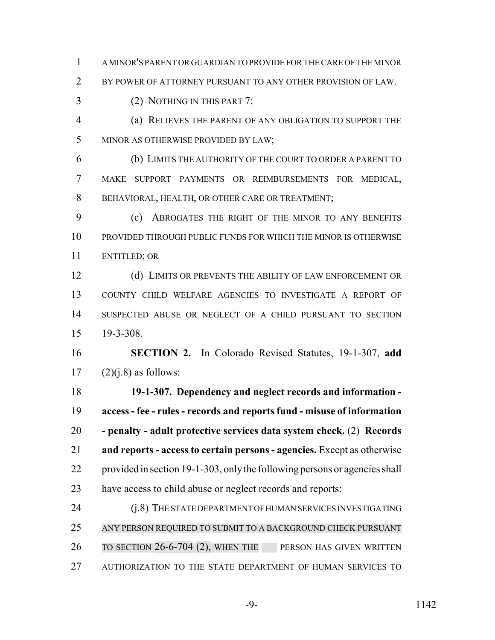A MINOR'S PARENT OR GUARDIAN TO PROVIDE FOR THE CARE OF THE MINOR

2 BY POWER OF ATTORNEY PURSUANT TO ANY OTHER PROVISION OF LAW.

- (2) NOTHING IN THIS PART 7:
- (a) RELIEVES THE PARENT OF ANY OBLIGATION TO SUPPORT THE MINOR AS OTHERWISE PROVIDED BY LAW;
- (b) LIMITS THE AUTHORITY OF THE COURT TO ORDER A PARENT TO MAKE SUPPORT PAYMENTS OR REIMBURSEMENTS FOR MEDICAL, BEHAVIORAL, HEALTH, OR OTHER CARE OR TREATMENT;

 (c) ABROGATES THE RIGHT OF THE MINOR TO ANY BENEFITS PROVIDED THROUGH PUBLIC FUNDS FOR WHICH THE MINOR IS OTHERWISE ENTITLED; OR

12 (d) LIMITS OR PREVENTS THE ABILITY OF LAW ENFORCEMENT OR COUNTY CHILD WELFARE AGENCIES TO INVESTIGATE A REPORT OF SUSPECTED ABUSE OR NEGLECT OF A CHILD PURSUANT TO SECTION 19-3-308.

 **SECTION 2.** In Colorado Revised Statutes, 19-1-307, **add** 17  $(2)(i.8)$  as follows:

 **19-1-307. Dependency and neglect records and information - access - fee - rules - records and reports fund - misuse of information - penalty - adult protective services data system check.** (2) **Records and reports - access to certain persons - agencies.** Except as otherwise provided in section 19-1-303, only the following persons or agencies shall have access to child abuse or neglect records and reports:

 (j.8) THE STATE DEPARTMENT OF HUMAN SERVICES INVESTIGATING ANY PERSON REQUIRED TO SUBMIT TO A BACKGROUND CHECK PURSUANT 26 TO SECTION 26-6-704 (2), WHEN THE PERSON HAS GIVEN WRITTEN AUTHORIZATION TO THE STATE DEPARTMENT OF HUMAN SERVICES TO